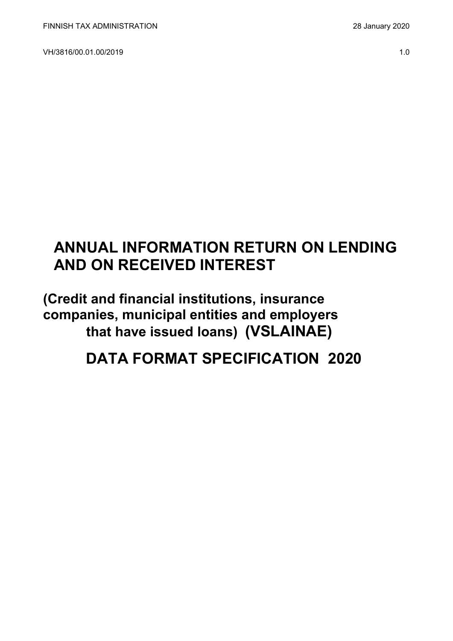VH/3816/00.01.00/2019 1.0

# **ANNUAL INFORMATION RETURN ON LENDING AND ON RECEIVED INTEREST**

**(Credit and financial institutions, insurance companies, municipal entities and employers that have issued loans) (VSLAINAE)**

**DATA FORMAT SPECIFICATION 2020**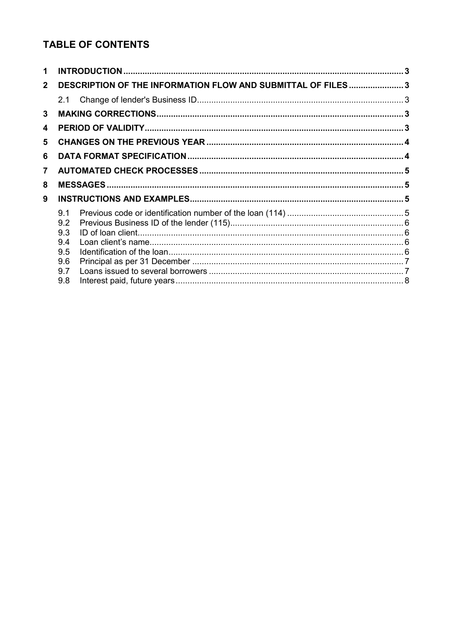## **TABLE OF CONTENTS**

| 1            |                                                              |  |
|--------------|--------------------------------------------------------------|--|
| $\mathbf{2}$ | DESCRIPTION OF THE INFORMATION FLOW AND SUBMITTAL OF FILES 3 |  |
|              | 2.1                                                          |  |
| 3            |                                                              |  |
| 4            |                                                              |  |
| 5            |                                                              |  |
| 6            |                                                              |  |
| 7            |                                                              |  |
| 8            |                                                              |  |
| 9            |                                                              |  |
|              |                                                              |  |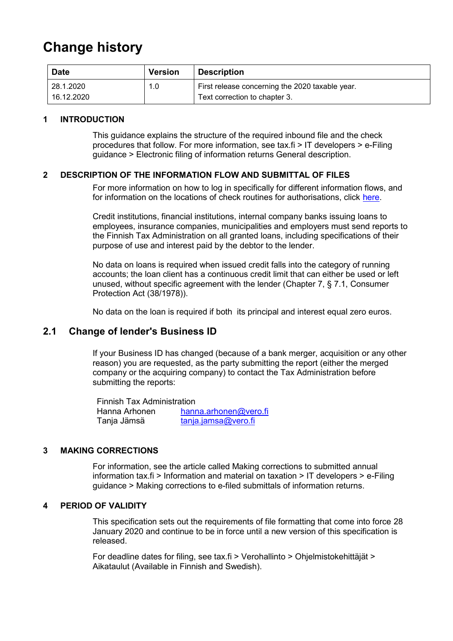# **Change history**

| <b>Date</b> | <b>Version</b> | <b>Description</b>                              |
|-------------|----------------|-------------------------------------------------|
| 28.1.2020   | 1.0            | First release concerning the 2020 taxable year. |
| 16.12.2020  |                | Text correction to chapter 3.                   |

#### <span id="page-2-0"></span>**1 INTRODUCTION**

This guidance explains the structure of the required inbound file and the check procedures that follow. For more information, see tax.fi > IT developers > e-Filing guidance > Electronic filing of information returns General description.

#### <span id="page-2-1"></span>**2 DESCRIPTION OF THE INFORMATION FLOW AND SUBMITTAL OF FILES**

For more information on how to log in specifically for different information flows, and for information on the locations of check routines for authorisations, click [here.](https://www.ilmoitin.fi/webtamo/sivut/IlmoituslajiRoolit?kieli=en&tv=VSLAINAE)

Credit institutions, financial institutions, internal company banks issuing loans to employees, insurance companies, municipalities and employers must send reports to the Finnish Tax Administration on all granted loans, including specifications of their purpose of use and interest paid by the debtor to the lender.

No data on loans is required when issued credit falls into the category of running accounts; the loan client has a continuous credit limit that can either be used or left unused, without specific agreement with the lender (Chapter 7, § 7.1, Consumer Protection Act (38/1978)).

No data on the loan is required if both its principal and interest equal zero euros.

## <span id="page-2-2"></span>**2.1 Change of lender's Business ID**

If your Business ID has changed (because of a bank merger, acquisition or any other reason) you are requested, as the party submitting the report (either the merged company or the acquiring company) to contact the Tax Administration before submitting the reports:

Finnish Tax Administration Hanna Arhonen hanna.arhonen@vero.fi Tanja Jämsä [tanja.jamsa@vero.fi](mailto:tanja.jamsa@vero.fi)

#### <span id="page-2-3"></span>**3 MAKING CORRECTIONS**

For information, see the article called Making corrections to submitted annual information tax.fi > Information and material on taxation > IT developers > e-Filing guidance > Making corrections to e-filed submittals of information returns.

#### <span id="page-2-4"></span>**4 PERIOD OF VALIDITY**

This specification sets out the requirements of file formatting that come into force 28 January 2020 and continue to be in force until a new version of this specification is released.

For deadline dates for filing, see tax.fi > Verohallinto > Ohjelmistokehittäjät > Aikataulut (Available in Finnish and Swedish).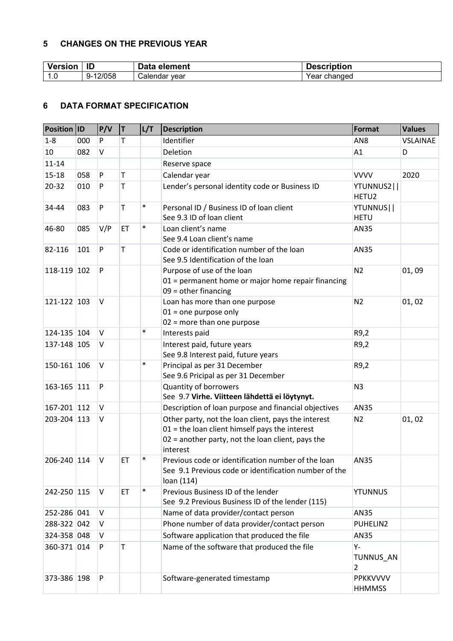#### <span id="page-3-0"></span>**5 CHANGES ON THE PREVIOUS YEAR**

| <b>Version</b> | ID            | Data<br>element | . .<br><b>Description</b> |
|----------------|---------------|-----------------|---------------------------|
| ט. ו           | 12/058<br>.ຯ– | Calendar year   | changed<br>Year           |

### <span id="page-3-1"></span>**6 DATA FORMAT SPECIFICATION**

| Position ID |     | P/V      | T  | L/T    | <b>Description</b>                                                                                                                                                       | Format                          | <b>Values</b>   |
|-------------|-----|----------|----|--------|--------------------------------------------------------------------------------------------------------------------------------------------------------------------------|---------------------------------|-----------------|
| $1 - 8$     | 000 | P        | T. |        | Identifier                                                                                                                                                               | AN <sub>8</sub>                 | <b>VSLAINAE</b> |
| 10          | 082 | V        |    |        | Deletion                                                                                                                                                                 | A1                              | D               |
| $11 - 14$   |     |          |    |        | Reserve space                                                                                                                                                            |                                 |                 |
| $15 - 18$   | 058 | P        | T  |        | Calendar year                                                                                                                                                            | <b>VVVV</b>                     | 2020            |
| 20-32       | 010 | P        | T  |        | Lender's personal identity code or Business ID                                                                                                                           | YTUNNUS2  <br>HETU <sub>2</sub> |                 |
| 34-44       | 083 | P        | T  | $\ast$ | Personal ID / Business ID of loan client<br>See 9.3 ID of loan client                                                                                                    | YTUNNUS  <br><b>HETU</b>        |                 |
| 46-80       | 085 | V/P      | ET | $\ast$ | Loan client's name<br>See 9.4 Loan client's name                                                                                                                         | <b>AN35</b>                     |                 |
| 82-116      | 101 | P        | T  |        | Code or identification number of the loan<br>See 9.5 Identification of the loan                                                                                          | <b>AN35</b>                     |                 |
| 118-119 102 |     | P        |    |        | Purpose of use of the loan<br>01 = permanent home or major home repair financing<br>$09 =$ other financing                                                               | N <sub>2</sub>                  | 01,09           |
| 121-122 103 |     | $\vee$   |    |        | Loan has more than one purpose<br>$01$ = one purpose only<br>$02$ = more than one purpose                                                                                | N <sub>2</sub>                  | 01, 02          |
| 124-135 104 |     | V        |    | $\ast$ | Interests paid                                                                                                                                                           | R9,2                            |                 |
| 137-148 105 |     | V        |    |        | Interest paid, future years<br>See 9.8 Interest paid, future years                                                                                                       | R9,2                            |                 |
| 150-161 106 |     | V        |    | $\ast$ | Principal as per 31 December<br>See 9.6 Pricipal as per 31 December                                                                                                      | R9,2                            |                 |
| 163-165 111 |     | P        |    |        | Quantity of borrowers<br>See 9.7 Virhe. Viitteen lähdettä ei löytynyt.                                                                                                   | N <sub>3</sub>                  |                 |
| 167-201 112 |     | <b>V</b> |    |        | Description of loan purpose and financial objectives                                                                                                                     | <b>AN35</b>                     |                 |
| 203-204 113 |     | V        |    |        | Other party, not the loan client, pays the interest<br>$01$ = the loan client himself pays the interest<br>02 = another party, not the loan client, pays the<br>interest | N <sub>2</sub>                  | 01, 02          |
| 206-240 114 |     | V        | ET | $\ast$ | Previous code or identification number of the loan<br>See 9.1 Previous code or identification number of the<br>loan (114)                                                | AN35                            |                 |
| 242-250 115 |     | V        | ET | $\ast$ | Previous Business ID of the lender<br>See 9.2 Previous Business ID of the lender (115)                                                                                   | <b>YTUNNUS</b>                  |                 |
| 252-286 041 |     | V        |    |        | Name of data provider/contact person                                                                                                                                     | AN35                            |                 |
| 288-322 042 |     | <b>V</b> |    |        | Phone number of data provider/contact person                                                                                                                             | PUHELIN2                        |                 |
| 324-358 048 |     | V        |    |        | Software application that produced the file                                                                                                                              | AN35                            |                 |
| 360-371 014 |     | P        | T  |        | Name of the software that produced the file                                                                                                                              | Υ-<br>TUNNUS_AN<br>2            |                 |
| 373-386 198 |     | P        |    |        | Software-generated timestamp                                                                                                                                             | PPKKVVVV<br><b>HHMMSS</b>       |                 |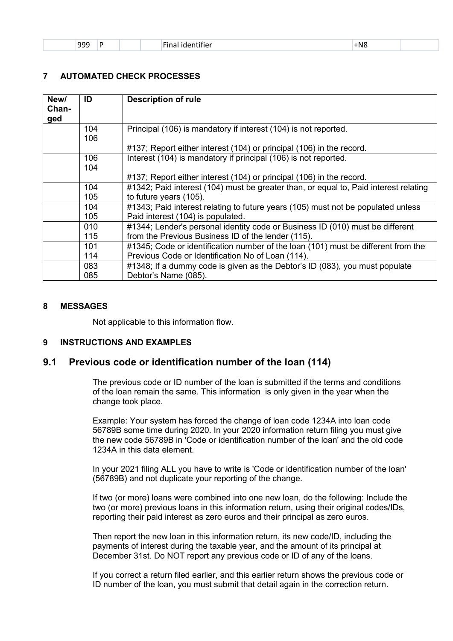| 999<br>- - - |  | $- \cdot$<br>.<br>. identifier<br>Final | $+$ N $8$<br>$\sim$ |  |
|--------------|--|-----------------------------------------|---------------------|--|
|              |  |                                         |                     |  |

#### <span id="page-4-0"></span>**7 AUTOMATED CHECK PROCESSES**

| New/<br>Chan-<br>ged | ID         | <b>Description of rule</b>                                                                                            |
|----------------------|------------|-----------------------------------------------------------------------------------------------------------------------|
|                      | 104<br>106 | Principal (106) is mandatory if interest (104) is not reported.                                                       |
|                      |            | #137; Report either interest (104) or principal (106) in the record.                                                  |
|                      | 106<br>104 | Interest (104) is mandatory if principal (106) is not reported.                                                       |
|                      |            | #137; Report either interest (104) or principal (106) in the record.                                                  |
|                      | 104        | #1342; Paid interest (104) must be greater than, or equal to, Paid interest relating                                  |
|                      | 105        | to future years (105).                                                                                                |
|                      | 104<br>105 | #1343; Paid interest relating to future years (105) must not be populated unless<br>Paid interest (104) is populated. |
|                      | 010        | #1344; Lender's personal identity code or Business ID (010) must be different                                         |
|                      | 115        | from the Previous Business ID of the lender (115).                                                                    |
|                      | 101        | #1345; Code or identification number of the loan (101) must be different from the                                     |
|                      | 114        | Previous Code or Identification No of Loan (114).                                                                     |
|                      | 083        | #1348; If a dummy code is given as the Debtor's ID (083), you must populate                                           |
|                      | 085        | Debtor's Name (085).                                                                                                  |

#### <span id="page-4-1"></span>**8 MESSAGES**

Not applicable to this information flow.

#### <span id="page-4-2"></span>**9 INSTRUCTIONS AND EXAMPLES**

#### <span id="page-4-3"></span>**9.1 Previous code or identification number of the loan (114)**

The previous code or ID number of the loan is submitted if the terms and conditions of the loan remain the same. This information is only given in the year when the change took place.

Example: Your system has forced the change of loan code 1234A into loan code 56789B some time during 2020. In your 2020 information return filing you must give the new code 56789B in 'Code or identification number of the loan' and the old code 1234A in this data element.

In your 2021 filing ALL you have to write is 'Code or identification number of the loan' (56789B) and not duplicate your reporting of the change.

If two (or more) loans were combined into one new loan, do the following: Include the two (or more) previous loans in this information return, using their original codes/IDs, reporting their paid interest as zero euros and their principal as zero euros.

Then report the new loan in this information return, its new code/ID, including the payments of interest during the taxable year, and the amount of its principal at December 31st. Do NOT report any previous code or ID of any of the loans.

If you correct a return filed earlier, and this earlier return shows the previous code or ID number of the loan, you must submit that detail again in the correction return.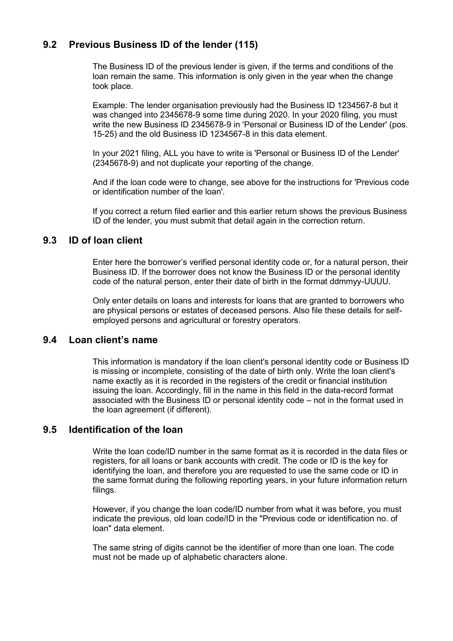## <span id="page-5-0"></span>**9.2 Previous Business ID of the lender (115)**

The Business ID of the previous lender is given, if the terms and conditions of the loan remain the same. This information is only given in the year when the change took place.

Example: The lender organisation previously had the Business ID 1234567-8 but it was changed into 2345678-9 some time during 2020. In your 2020 filing, you must write the new Business ID 2345678-9 in 'Personal or Business ID of the Lender' (pos. 15-25) and the old Business ID 1234567-8 in this data element.

In your 2021 filing, ALL you have to write is 'Personal or Business ID of the Lender' (2345678-9) and not duplicate your reporting of the change.

And if the loan code were to change, see above for the instructions for 'Previous code or identification number of the loan'.

If you correct a return filed earlier and this earlier return shows the previous Business ID of the lender, you must submit that detail again in the correction return.

#### <span id="page-5-1"></span>**9.3 ID of loan client**

Enter here the borrower's verified personal identity code or, for a natural person, their Business ID. If the borrower does not know the Business ID or the personal identity code of the natural person, enter their date of birth in the format ddmmyy-UUUU.

Only enter details on loans and interests for loans that are granted to borrowers who are physical persons or estates of deceased persons. Also file these details for selfemployed persons and agricultural or forestry operators.

#### <span id="page-5-2"></span>**9.4 Loan client's name**

This information is mandatory if the loan client's personal identity code or Business ID is missing or incomplete, consisting of the date of birth only. Write the loan client's name exactly as it is recorded in the registers of the credit or financial institution issuing the loan. Accordingly, fill in the name in this field in the data-record format associated with the Business ID or personal identity code – not in the format used in the loan agreement (if different).

### <span id="page-5-3"></span>**9.5 Identification of the loan**

Write the loan code/ID number in the same format as it is recorded in the data files or registers, for all loans or bank accounts with credit. The code or ID is the key for identifying the loan, and therefore you are requested to use the same code or ID in the same format during the following reporting years, in your future information return filings.

However, if you change the loan code/ID number from what it was before, you must indicate the previous, old loan code/ID in the "Previous code or identification no. of loan" data element.

The same string of digits cannot be the identifier of more than one loan. The code must not be made up of alphabetic characters alone.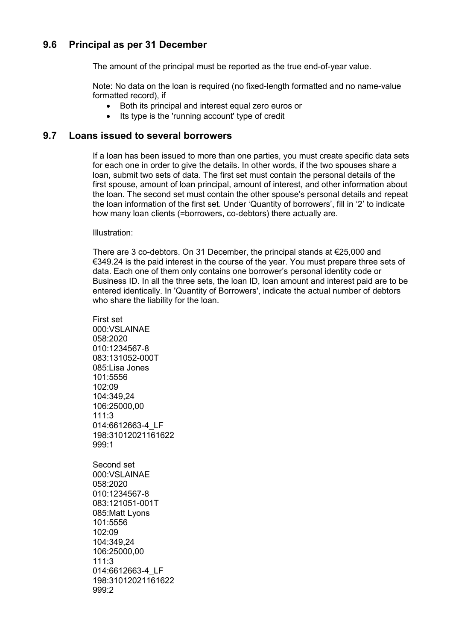## <span id="page-6-0"></span>**9.6 Principal as per 31 December**

The amount of the principal must be reported as the true end-of-year value.

Note: No data on the loan is required (no fixed-length formatted and no name-value formatted record), if

- Both its principal and interest equal zero euros or
- Its type is the 'running account' type of credit

#### <span id="page-6-1"></span>**9.7 Loans issued to several borrowers**

If a loan has been issued to more than one parties, you must create specific data sets for each one in order to give the details. In other words, if the two spouses share a loan, submit two sets of data. The first set must contain the personal details of the first spouse, amount of loan principal, amount of interest, and other information about the loan. The second set must contain the other spouse's personal details and repeat the loan information of the first set. Under 'Quantity of borrowers', fill in '2' to indicate how many loan clients (=borrowers, co-debtors) there actually are.

#### Illustration:

There are 3 co-debtors. On 31 December, the principal stands at €25,000 and €349.24 is the paid interest in the course of the year. You must prepare three sets of data. Each one of them only contains one borrower's personal identity code or Business ID. In all the three sets, the loan ID, loan amount and interest paid are to be entered identically. In 'Quantity of Borrowers', indicate the actual number of debtors who share the liability for the loan.

First set 000:VSLAINAE 058:2020 010:1234567-8 083:131052-000T 085:Lisa Jones 101:5556 102:09 104:349,24 106:25000,00 111:3 014:6612663-4\_LF 198:31012021161622 999:1 Second set 000:VSLAINAE 058:2020 010:1234567-8 083:121051-001T 085:Matt Lyons 101:5556 102:09 104:349,24 106:25000,00 111:3 014:6612663-4\_LF 198:31012021161622 999:2